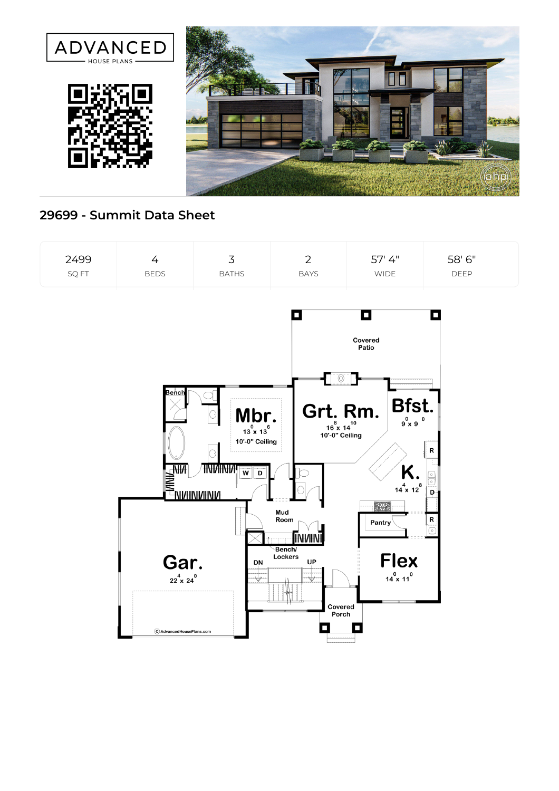

## **29699 - Summit Data Sheet**

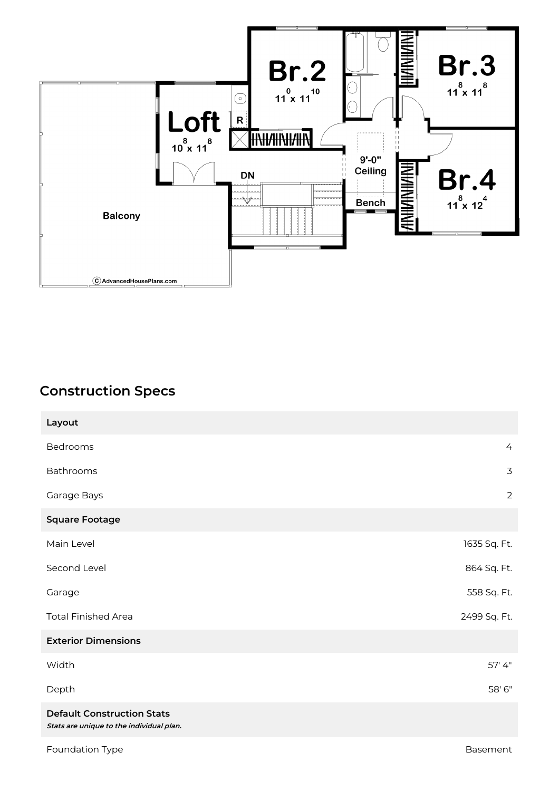

## **Construction Specs**

| Layout                                                                        |                |
|-------------------------------------------------------------------------------|----------------|
| Bedrooms                                                                      | $\overline{4}$ |
| Bathrooms                                                                     | 3              |
| Garage Bays                                                                   | $\overline{2}$ |
| <b>Square Footage</b>                                                         |                |
| Main Level                                                                    | 1635 Sq. Ft.   |
| Second Level                                                                  | 864 Sq. Ft.    |
| Garage                                                                        | 558 Sq. Ft.    |
| <b>Total Finished Area</b>                                                    | 2499 Sq. Ft.   |
| <b>Exterior Dimensions</b>                                                    |                |
| Width                                                                         | 57' 4"         |
| Depth                                                                         | 58' 6"         |
| <b>Default Construction Stats</b><br>Stats are unique to the individual plan. |                |